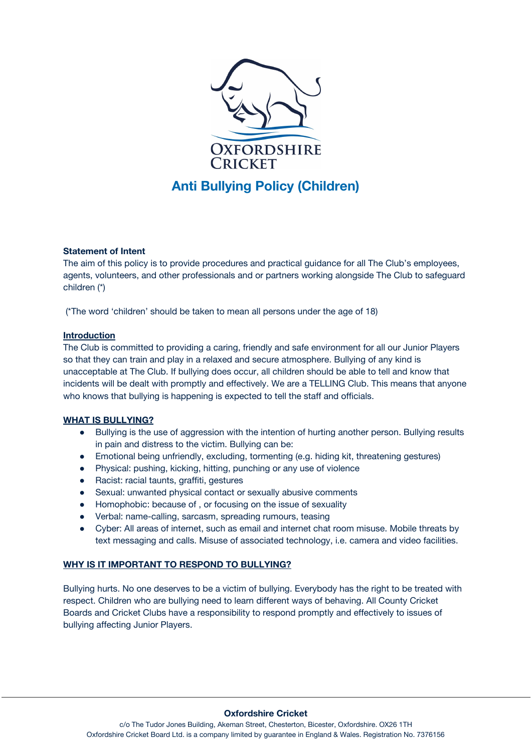

## **Statement of Intent**

The aim of this policy is to provide procedures and practical guidance for all The Club's employees, agents, volunteers, and other professionals and or partners working alongside The Club to safeguard children (\*)

(\*The word 'children' should be taken to mean all persons under the age of 18)

### **Introduction**

The Club is committed to providing a caring, friendly and safe environment for all our Junior Players so that they can train and play in a relaxed and secure atmosphere. Bullying of any kind is unacceptable at The Club. If bullying does occur, all children should be able to tell and know that incidents will be dealt with promptly and effectively. We are a TELLING Club. This means that anyone who knows that bullying is happening is expected to tell the staff and officials.

## **WHAT IS BULLYING?**

- Bullying is the use of aggression with the intention of hurting another person. Bullying results in pain and distress to the victim. Bullying can be:
- Emotional being unfriendly, excluding, tormenting (e.g. hiding kit, threatening gestures)
- Physical: pushing, kicking, hitting, punching or any use of violence
- Racist: racial taunts, graffiti, gestures
- Sexual: unwanted physical contact or sexually abusive comments
- Homophobic: because of , or focusing on the issue of sexuality
- Verbal: name-calling, sarcasm, spreading rumours, teasing
- Cyber: All areas of internet, such as email and internet chat room misuse. Mobile threats by text messaging and calls. Misuse of associated technology, i.e. camera and video facilities.

#### **WHY IS IT IMPORTANT TO RESPOND TO BULLYING?**

Bullying hurts. No one deserves to be a victim of bullying. Everybody has the right to be treated with respect. Children who are bullying need to learn different ways of behaving. All County Cricket Boards and Cricket Clubs have a responsibility to respond promptly and effectively to issues of bullying affecting Junior Players.

#### **Oxfordshire Cricket**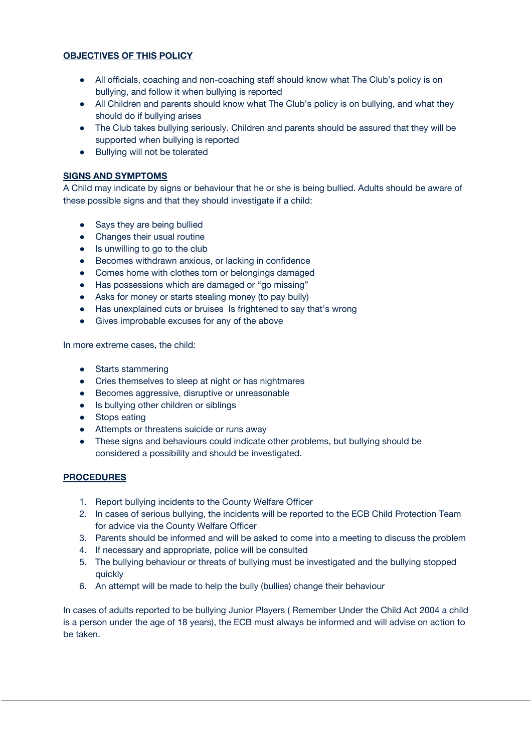# **OBJECTIVES OF THIS POLICY**

- All officials, coaching and non-coaching staff should know what The Club's policy is on bullying, and follow it when bullying is reported
- All Children and parents should know what The Club's policy is on bullying, and what they should do if bullying arises
- The Club takes bullying seriously. Children and parents should be assured that they will be supported when bullying is reported
- Bullying will not be tolerated

# **SIGNS AND SYMPTOMS**

A Child may indicate by signs or behaviour that he or she is being bullied. Adults should be aware of these possible signs and that they should investigate if a child:

- Says they are being bullied
- Changes their usual routine
- Is unwilling to go to the club
- Becomes withdrawn anxious, or lacking in confidence
- Comes home with clothes torn or belongings damaged
- Has possessions which are damaged or "go missing"
- Asks for money or starts stealing money (to pay bully)
- Has unexplained cuts or bruises Is frightened to say that's wrong
- Gives improbable excuses for any of the above

In more extreme cases, the child:

- Starts stammering
- Cries themselves to sleep at night or has nightmares
- Becomes aggressive, disruptive or unreasonable
- Is bullying other children or siblings
- Stops eating
- Attempts or threatens suicide or runs away
- These signs and behaviours could indicate other problems, but bullying should be considered a possibility and should be investigated.

## **PROCEDURES**

- 1. Report bullying incidents to the County Welfare Officer
- 2. In cases of serious bullying, the incidents will be reported to the ECB Child Protection Team for advice via the County Welfare Officer
- 3. Parents should be informed and will be asked to come into a meeting to discuss the problem
- 4. If necessary and appropriate, police will be consulted
- 5. The bullying behaviour or threats of bullying must be investigated and the bullying stopped quickly
- 6. An attempt will be made to help the bully (bullies) change their behaviour

In cases of adults reported to be bullying Junior Players ( Remember Under the Child Act 2004 a child is a person under the age of 18 years), the ECB must always be informed and will advise on action to be taken.